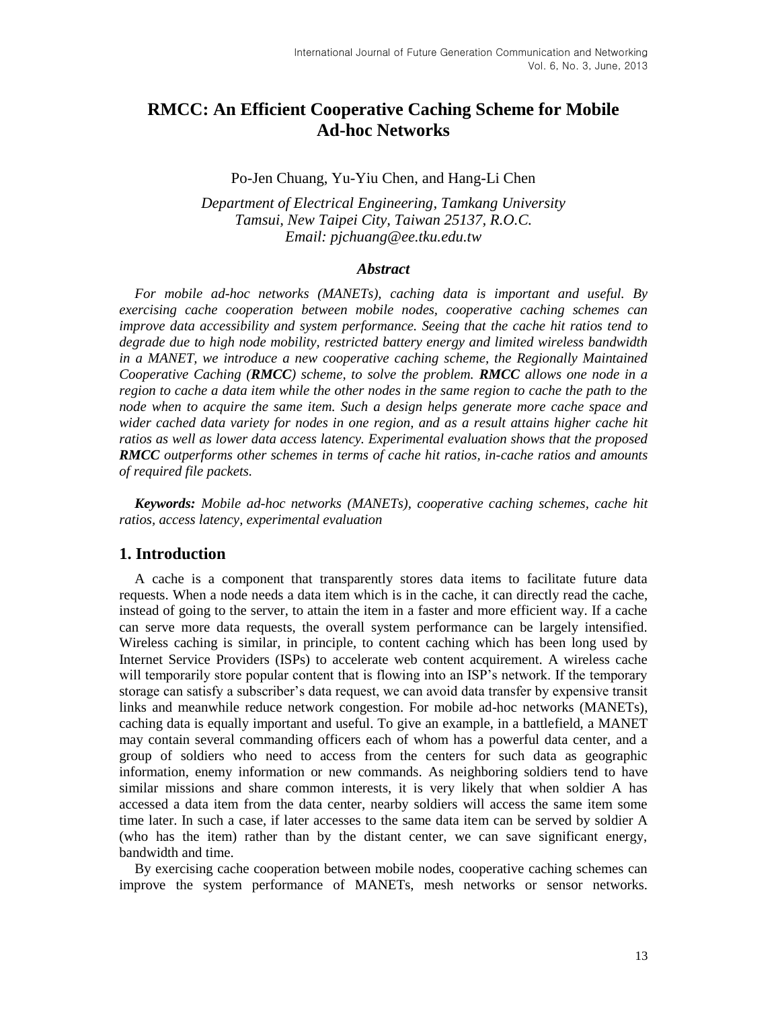# **RMCC: An Efficient Cooperative Caching Scheme for Mobile Ad-hoc Networks**

### Po-Jen Chuang, Yu-Yiu Chen, and Hang-Li Chen

*Department of Electrical Engineering, Tamkang University Tamsui, New Taipei City, Taiwan 25137, R.O.C. Email: pjchuang@ee.tku.edu.tw*

### *Abstract*

*For mobile ad-hoc networks (MANETs), caching data is important and useful. By exercising cache cooperation between mobile nodes, cooperative caching schemes can improve data accessibility and system performance. Seeing that the cache hit ratios tend to degrade due to high node mobility, restricted battery energy and limited wireless bandwidth in a MANET, we introduce a new cooperative caching scheme, the Regionally Maintained Cooperative Caching (RMCC) scheme, to solve the problem. RMCC allows one node in a region to cache a data item while the other nodes in the same region to cache the path to the node when to acquire the same item. Such a design helps generate more cache space and wider cached data variety for nodes in one region, and as a result attains higher cache hit ratios as well as lower data access latency. Experimental evaluation shows that the proposed RMCC outperforms other schemes in terms of cache hit ratios, in-cache ratios and amounts of required file packets.*

*Keywords: Mobile ad-hoc networks (MANETs), cooperative caching schemes, cache hit ratios, access latency, experimental evaluation*

## **1. Introduction**

A cache is a component that transparently stores data items to facilitate future data requests. When a node needs a data item which is in the cache, it can directly read the cache, instead of going to the server, to attain the item in a faster and more efficient way. If a cache can serve more data requests, the overall system performance can be largely intensified. Wireless caching is similar, in principle, to content caching which has been long used by Internet Service Providers (ISPs) to accelerate web content acquirement. A wireless cache will temporarily store popular content that is flowing into an ISP's network. If the temporary storage can satisfy a subscriber's data request, we can avoid data transfer by expensive transit links and meanwhile reduce network congestion. For mobile ad-hoc networks (MANETs), caching data is equally important and useful. To give an example, in a battlefield, a MANET may contain several commanding officers each of whom has a powerful data center, and a group of soldiers who need to access from the centers for such data as geographic information, enemy information or new commands. As neighboring soldiers tend to have similar missions and share common interests, it is very likely that when soldier A has accessed a data item from the data center, nearby soldiers will access the same item some time later. In such a case, if later accesses to the same data item can be served by soldier A (who has the item) rather than by the distant center, we can save significant energy, bandwidth and time.

By exercising cache cooperation between mobile nodes, cooperative caching schemes can improve the system performance of MANETs, mesh networks or sensor networks.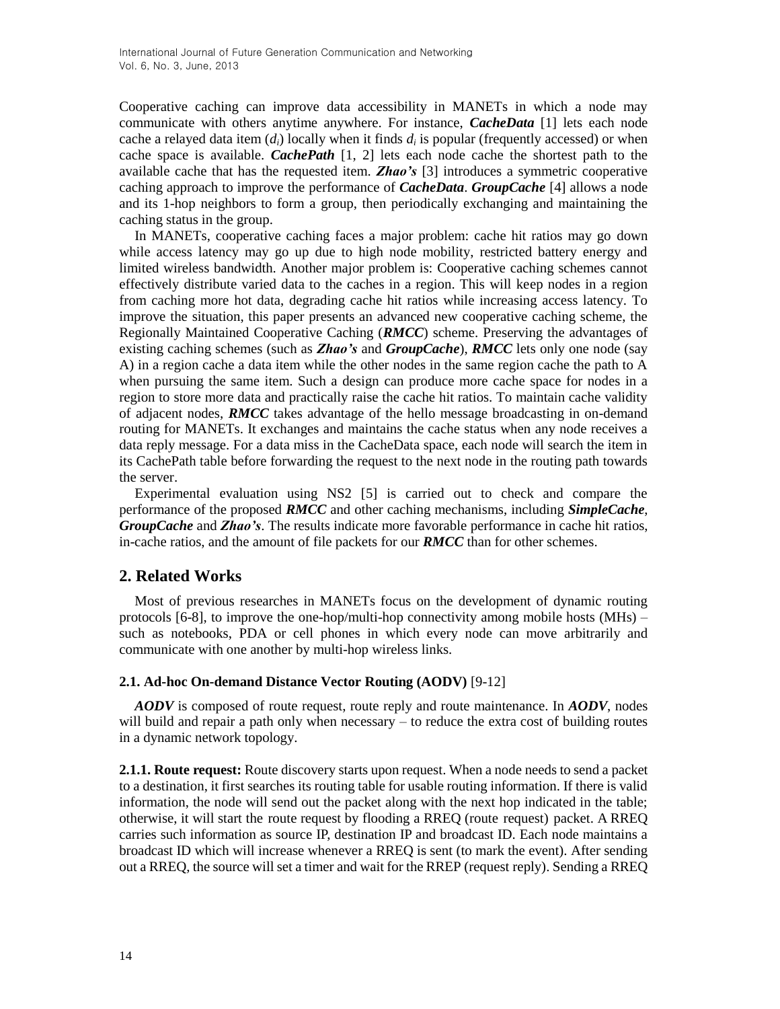Cooperative caching can improve data accessibility in MANETs in which a node may communicate with others anytime anywhere. For instance, *CacheData* [1] lets each node cache a relayed data item  $(d_i)$  locally when it finds  $d_i$  is popular (frequently accessed) or when cache space is available. *CachePath* [1, 2] lets each node cache the shortest path to the available cache that has the requested item. *Zhao's* [3] introduces a symmetric cooperative caching approach to improve the performance of *CacheData*. *GroupCache* [4] allows a node and its 1-hop neighbors to form a group, then periodically exchanging and maintaining the caching status in the group.

In MANETs, cooperative caching faces a major problem: cache hit ratios may go down while access latency may go up due to high node mobility, restricted battery energy and limited wireless bandwidth. Another major problem is: Cooperative caching schemes cannot effectively distribute varied data to the caches in a region. This will keep nodes in a region from caching more hot data, degrading cache hit ratios while increasing access latency. To improve the situation, this paper presents an advanced new cooperative caching scheme, the Regionally Maintained Cooperative Caching (*RMCC*) scheme. Preserving the advantages of existing caching schemes (such as *Zhao's* and *GroupCache*), *RMCC* lets only one node (say A) in a region cache a data item while the other nodes in the same region cache the path to A when pursuing the same item. Such a design can produce more cache space for nodes in a region to store more data and practically raise the cache hit ratios. To maintain cache validity of adjacent nodes, *RMCC* takes advantage of the hello message broadcasting in on-demand routing for MANETs. It exchanges and maintains the cache status when any node receives a data reply message. For a data miss in the CacheData space, each node will search the item in its CachePath table before forwarding the request to the next node in the routing path towards the server.

Experimental evaluation using NS2 [5] is carried out to check and compare the performance of the proposed *RMCC* and other caching mechanisms, including *SimpleCache*, *GroupCache* and *Zhao's*. The results indicate more favorable performance in cache hit ratios, in-cache ratios, and the amount of file packets for our *RMCC* than for other schemes.

# **2. Related Works**

Most of previous researches in MANETs focus on the development of dynamic routing protocols [6-8], to improve the one-hop/multi-hop connectivity among mobile hosts (MHs) – such as notebooks, PDA or cell phones in which every node can move arbitrarily and communicate with one another by multi-hop wireless links.

### **2.1. Ad-hoc On-demand Distance Vector Routing (AODV)** [9-12]

*AODV* is composed of route request, route reply and route maintenance. In *AODV*, nodes will build and repair a path only when necessary – to reduce the extra cost of building routes in a dynamic network topology.

**2.1.1. Route request:** Route discovery starts upon request. When a node needs to send a packet to a destination, it first searches its routing table for usable routing information. If there is valid information, the node will send out the packet along with the next hop indicated in the table; otherwise, it will start the route request by flooding a RREQ (route request) packet. A RREQ carries such information as source IP, destination IP and broadcast ID. Each node maintains a broadcast ID which will increase whenever a RREQ is sent (to mark the event). After sending out a RREQ, the source will set a timer and wait for the RREP (request reply). Sending a RREQ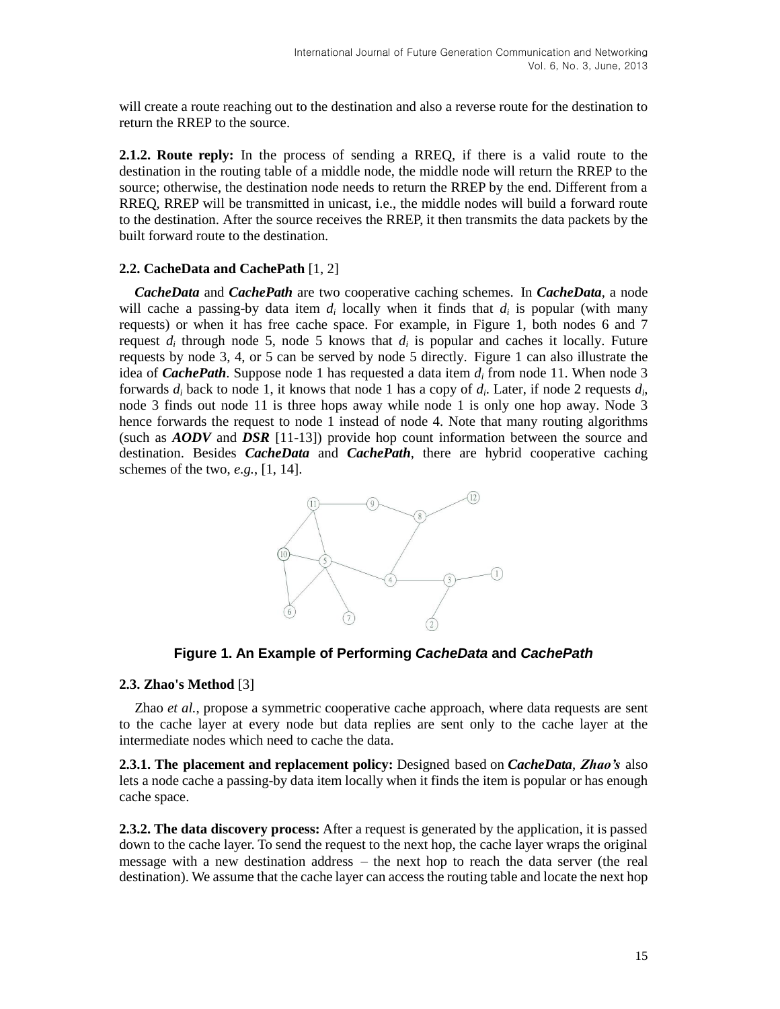will create a route reaching out to the destination and also a reverse route for the destination to return the RREP to the source.

**2.1.2. Route reply:** In the process of sending a RREQ, if there is a valid route to the destination in the routing table of a middle node, the middle node will return the RREP to the source; otherwise, the destination node needs to return the RREP by the end. Different from a RREQ, RREP will be transmitted in unicast, i.e., the middle nodes will build a forward route to the destination. After the source receives the RREP, it then transmits the data packets by the built forward route to the destination.

### **2.2. CacheData and CachePath** [1, 2]

*CacheData* and *CachePath* are two cooperative caching schemes. In *CacheData*, a node will cache a passing-by data item  $d_i$  locally when it finds that  $d_i$  is popular (with many requests) or when it has free cache space. For example, in Figure 1, both nodes 6 and 7 request  $d_i$  through node 5, node 5 knows that  $d_i$  is popular and caches it locally. Future requests by node 3, 4, or 5 can be served by node 5 directly. Figure 1 can also illustrate the idea of *CachePath*. Suppose node 1 has requested a data item *d<sup>i</sup>* from node 11. When node 3 forwards *d<sup>i</sup>* back to node 1, it knows that node 1 has a copy of *d<sup>i</sup>* . Later, if node 2 requests *d<sup>i</sup>* , node 3 finds out node 11 is three hops away while node 1 is only one hop away. Node 3 hence forwards the request to node 1 instead of node 4. Note that many routing algorithms (such as *AODV* and *DSR* [11-13]) provide hop count information between the source and destination. Besides *CacheData* and *CachePath*, there are hybrid cooperative caching schemes of the two, *e.g.*, [1, 14].



**Figure 1. An Example of Performing** *CacheData* **and** *CachePath*

### **2.3. Zhao's Method** [3]

Zhao *et al.*, propose a symmetric cooperative cache approach, where data requests are sent to the cache layer at every node but data replies are sent only to the cache layer at the intermediate nodes which need to cache the data.

**2.3.1. The placement and replacement policy:** Designed based on *CacheData*, *Zhao's* also lets a node cache a passing-by data item locally when it finds the item is popular or has enough cache space.

**2.3.2. The data discovery process:** After a request is generated by the application, it is passed down to the cache layer. To send the request to the next hop, the cache layer wraps the original message with a new destination address – the next hop to reach the data server (the real destination). We assume that the cache layer can access the routing table and locate the next hop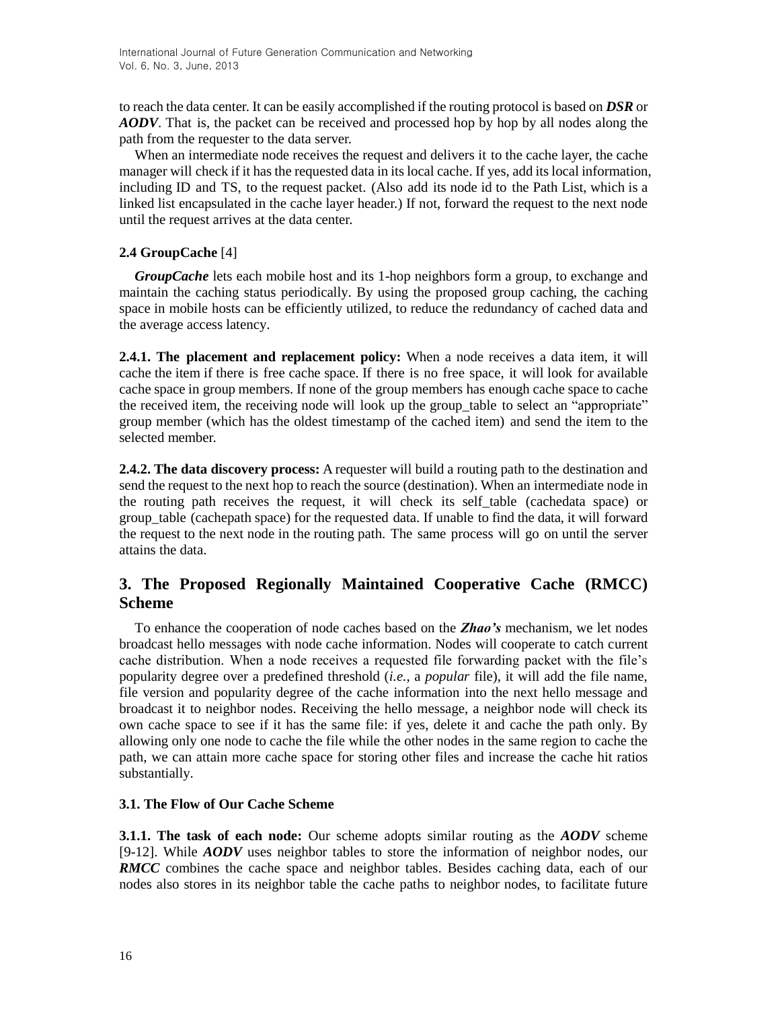to reach the data center. It can be easily accomplished if the routing protocol is based on *DSR* or *AODV*. That is, the packet can be received and processed hop by hop by all nodes along the path from the requester to the data server.

When an intermediate node receives the request and delivers it to the cache layer, the cache manager will check if it has the requested data in its local cache. If yes, add its local information, including ID and TS, to the request packet. (Also add its node id to the Path List, which is a linked list encapsulated in the cache layer header.) If not, forward the request to the next node until the request arrives at the data center.

## **2.4 GroupCache** [4]

*GroupCache* lets each mobile host and its 1-hop neighbors form a group, to exchange and maintain the caching status periodically. By using the proposed group caching, the caching space in mobile hosts can be efficiently utilized, to reduce the redundancy of cached data and the average access latency.

**2.4.1. The placement and replacement policy:** When a node receives a data item, it will cache the item if there is free cache space. If there is no free space, it will look for available cache space in group members. If none of the group members has enough cache space to cache the received item, the receiving node will look up the group table to select an "appropriate" group member (which has the oldest timestamp of the cached item) and send the item to the selected member.

**2.4.2. The data discovery process:** A requester will build a routing path to the destination and send the request to the next hop to reach the source (destination). When an intermediate node in the routing path receives the request, it will check its self\_table (cachedata space) or group\_table (cachepath space) for the requested data. If unable to find the data, it will forward the request to the next node in the routing path. The same process will go on until the server attains the data.

# **3. The Proposed Regionally Maintained Cooperative Cache (RMCC) Scheme**

To enhance the cooperation of node caches based on the *Zhao's* mechanism, we let nodes broadcast hello messages with node cache information. Nodes will cooperate to catch current cache distribution. When a node receives a requested file forwarding packet with the file's popularity degree over a predefined threshold (*i.e.*, a *popular* file), it will add the file name, file version and popularity degree of the cache information into the next hello message and broadcast it to neighbor nodes. Receiving the hello message, a neighbor node will check its own cache space to see if it has the same file: if yes, delete it and cache the path only. By allowing only one node to cache the file while the other nodes in the same region to cache the path, we can attain more cache space for storing other files and increase the cache hit ratios substantially.

## **3.1. The Flow of Our Cache Scheme**

**3.1.1. The task of each node:** Our scheme adopts similar routing as the *AODV* scheme [9-12]. While *AODV* uses neighbor tables to store the information of neighbor nodes, our *RMCC* combines the cache space and neighbor tables. Besides caching data, each of our nodes also stores in its neighbor table the cache paths to neighbor nodes, to facilitate future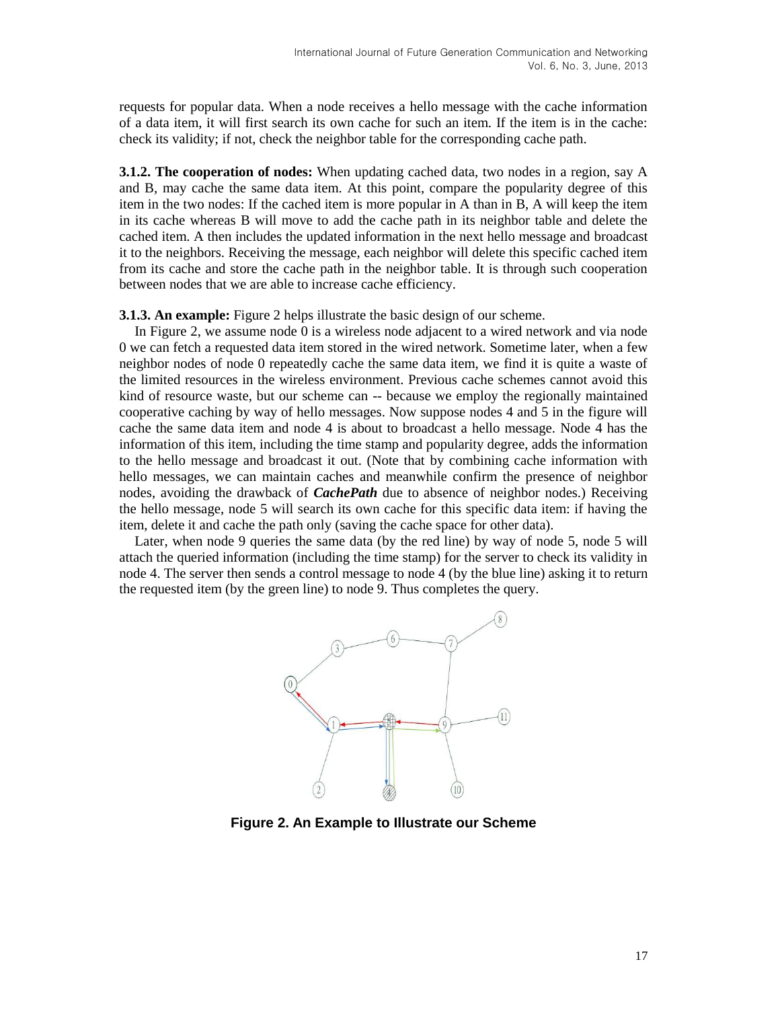requests for popular data. When a node receives a hello message with the cache information of a data item, it will first search its own cache for such an item. If the item is in the cache: check its validity; if not, check the neighbor table for the corresponding cache path.

**3.1.2. The cooperation of nodes:** When updating cached data, two nodes in a region, say A and B, may cache the same data item. At this point, compare the popularity degree of this item in the two nodes: If the cached item is more popular in A than in B, A will keep the item in its cache whereas B will move to add the cache path in its neighbor table and delete the cached item. A then includes the updated information in the next hello message and broadcast it to the neighbors. Receiving the message, each neighbor will delete this specific cached item from its cache and store the cache path in the neighbor table. It is through such cooperation between nodes that we are able to increase cache efficiency.

**3.1.3. An example:** Figure 2 helps illustrate the basic design of our scheme.

In Figure 2, we assume node 0 is a wireless node adjacent to a wired network and via node 0 we can fetch a requested data item stored in the wired network. Sometime later, when a few neighbor nodes of node 0 repeatedly cache the same data item, we find it is quite a waste of the limited resources in the wireless environment. Previous cache schemes cannot avoid this kind of resource waste, but our scheme can -- because we employ the regionally maintained cooperative caching by way of hello messages. Now suppose nodes 4 and 5 in the figure will cache the same data item and node 4 is about to broadcast a hello message. Node 4 has the information of this item, including the time stamp and popularity degree, adds the information to the hello message and broadcast it out. (Note that by combining cache information with hello messages, we can maintain caches and meanwhile confirm the presence of neighbor nodes, avoiding the drawback of *CachePath* due to absence of neighbor nodes.) Receiving the hello message, node 5 will search its own cache for this specific data item: if having the item, delete it and cache the path only (saving the cache space for other data).

Later, when node 9 queries the same data (by the red line) by way of node 5, node 5 will attach the queried information (including the time stamp) for the server to check its validity in node 4. The server then sends a control message to node 4 (by the blue line) asking it to return the requested item (by the green line) to node 9. Thus completes the query.



**Figure 2. An Example to Illustrate our Scheme**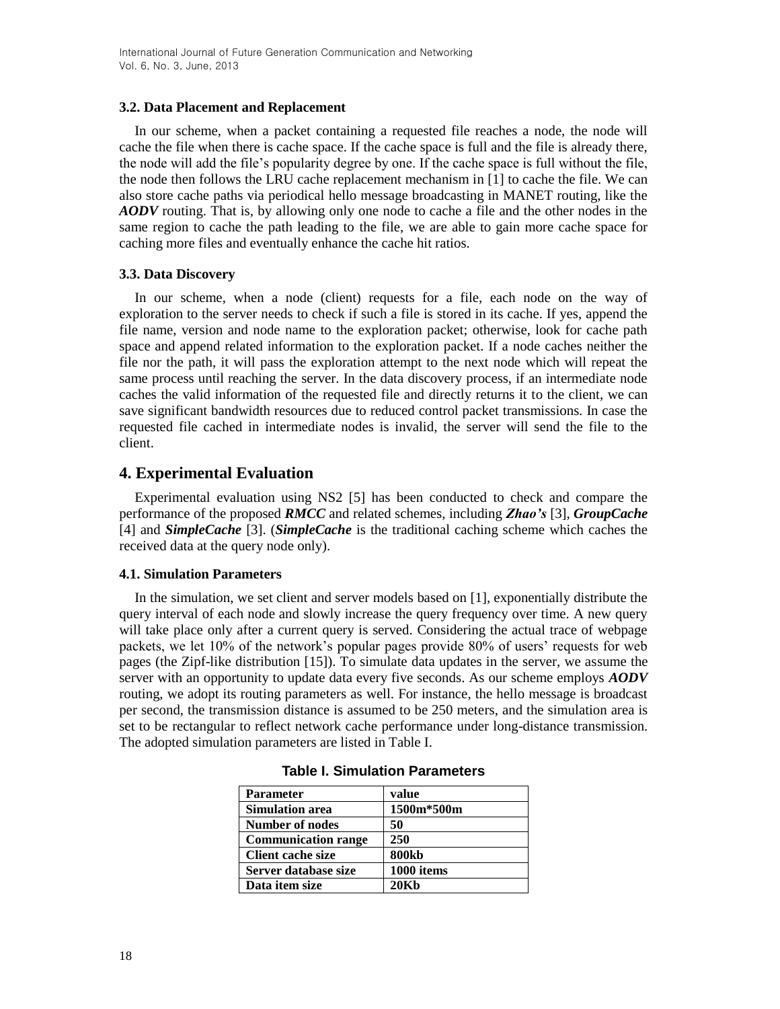### **3.2. Data Placement and Replacement**

In our scheme, when a packet containing a requested file reaches a node, the node will cache the file when there is cache space. If the cache space is full and the file is already there, the node will add the file's popularity degree by one. If the cache space is full without the file, the node then follows the LRU cache replacement mechanism in [1] to cache the file. We can also store cache paths via periodical hello message broadcasting in MANET routing, like the *AODV* routing. That is, by allowing only one node to cache a file and the other nodes in the same region to cache the path leading to the file, we are able to gain more cache space for caching more files and eventually enhance the cache hit ratios.

### **3.3. Data Discovery**

In our scheme, when a node (client) requests for a file, each node on the way of exploration to the server needs to check if such a file is stored in its cache. If yes, append the file name, version and node name to the exploration packet; otherwise, look for cache path space and append related information to the exploration packet. If a node caches neither the file nor the path, it will pass the exploration attempt to the next node which will repeat the same process until reaching the server. In the data discovery process, if an intermediate node caches the valid information of the requested file and directly returns it to the client, we can save significant bandwidth resources due to reduced control packet transmissions. In case the requested file cached in intermediate nodes is invalid, the server will send the file to the client.

# **4. Experimental Evaluation**

Experimental evaluation using NS2 [5] has been conducted to check and compare the performance of the proposed *RMCC* and related schemes, including *Zhao's* [3], *GroupCache* [4] and *SimpleCache* [3]. (*SimpleCache* is the traditional caching scheme which caches the received data at the query node only).

## **4.1. Simulation Parameters**

In the simulation, we set client and server models based on [1], exponentially distribute the query interval of each node and slowly increase the query frequency over time. A new query will take place only after a current query is served. Considering the actual trace of webpage packets, we let 10% of the network's popular pages provide 80% of users' requests for web pages (the Zipf-like distribution [15]). To simulate data updates in the server, we assume the server with an opportunity to update data every five seconds. As our scheme employs *AODV*  routing, we adopt its routing parameters as well. For instance, the hello message is broadcast per second, the transmission distance is assumed to be 250 meters, and the simulation area is set to be rectangular to reflect network cache performance under long-distance transmission. The adopted simulation parameters are listed in Table I.

| <b>Parameter</b>           | value      |
|----------------------------|------------|
| <b>Simulation area</b>     | 1500m*500m |
| Number of nodes            | 50         |
| <b>Communication range</b> | 250        |
| <b>Client cache size</b>   | 800kb      |
| Server database size       | 1000 items |
| Data item size             | 20Kb       |

|  | <b>Table I. Simulation Parameters</b> |  |
|--|---------------------------------------|--|
|--|---------------------------------------|--|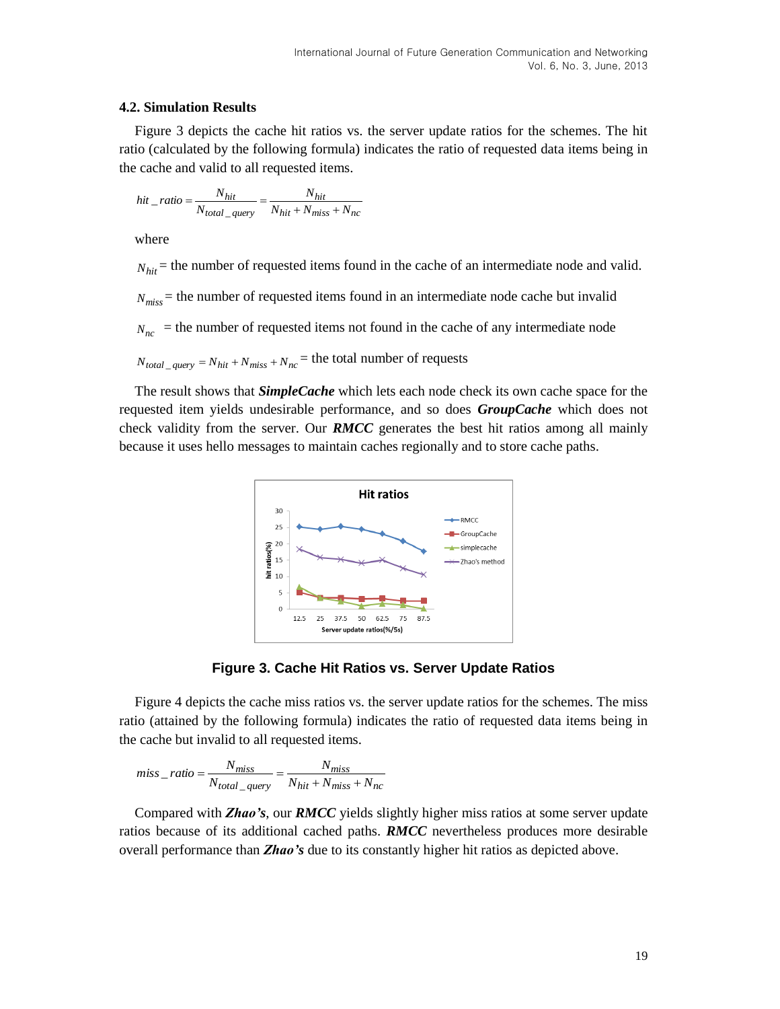### **4.2. Simulation Results**

Figure 3 depicts the cache hit ratios vs. the server update ratios for the schemes. The hit ratio (calculated by the following formula) indicates the ratio of requested data items being in the cache and valid to all requested items.

$$
hit\_ratio = \frac{N_{hit}}{N_{total\_query}} = \frac{N_{hit}}{N_{hit} + N_{miss} + N_{nc}}
$$

where

 $N<sub>hit</sub>$  = the number of requested items found in the cache of an intermediate node and valid.

*Nmiss* = the number of requested items found in an intermediate node cache but invalid

 $N_{nc}$  = the number of requested items not found in the cache of any intermediate node

 $N_{total\_query} = N_{hit} + N_{miss} + N_{nc}$  = the total number of requests

The result shows that *SimpleCache* which lets each node check its own cache space for the requested item yields undesirable performance, and so does *GroupCache* which does not check validity from the server. Our *RMCC* generates the best hit ratios among all mainly because it uses hello messages to maintain caches regionally and to store cache paths.



**Figure 3. Cache Hit Ratios vs. Server Update Ratios**

Figure 4 depicts the cache miss ratios vs. the server update ratios for the schemes. The miss ratio (attained by the following formula) indicates the ratio of requested data items being in the cache but invalid to all requested items.

$$
miss\_ratio = \frac{N_{miss}}{N_{total\_query}} = \frac{N_{miss}}{N_{hit} + N_{miss} + N_{nc}}
$$

Compared with *Zhao's*, our *RMCC* yields slightly higher miss ratios at some server update ratios because of its additional cached paths. *RMCC* nevertheless produces more desirable overall performance than *Zhao's* due to its constantly higher hit ratios as depicted above.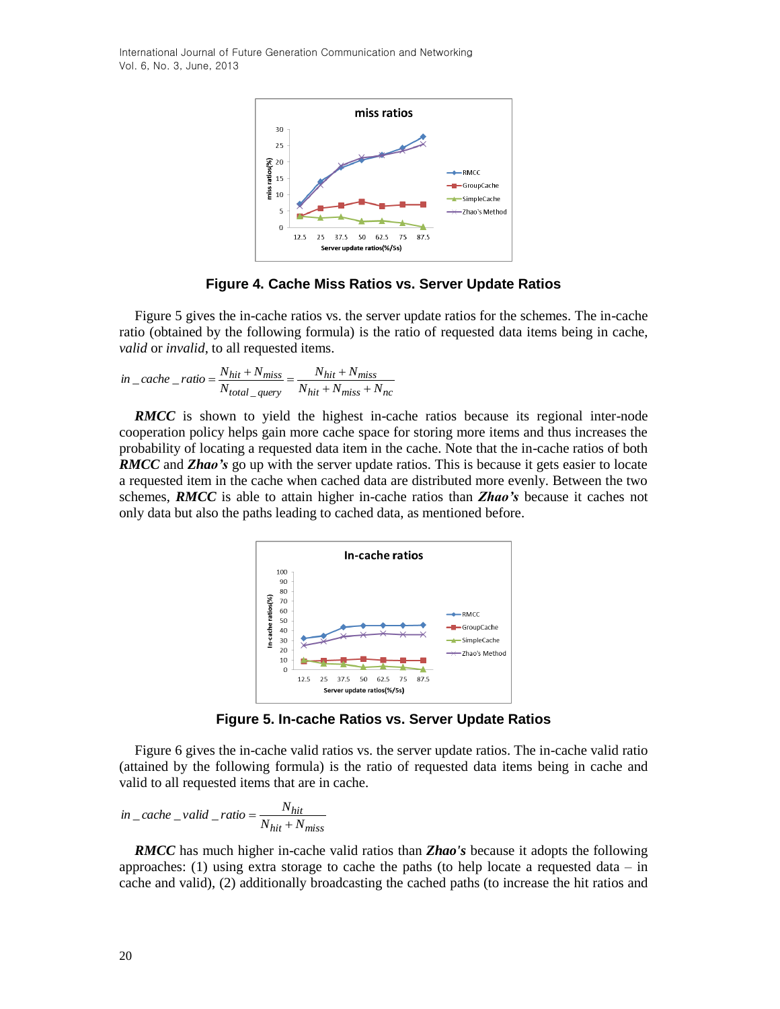International Journal of Future Generation Communication and Networking Vol. 6, No. 3, June, 2013



**Figure 4. Cache Miss Ratios vs. Server Update Ratios**

Figure 5 gives the in-cache ratios vs. the server update ratios for the schemes. The in-cache ratio (obtained by the following formula) is the ratio of requested data items being in cache, *valid* or *invalid*, to all requested items.

$$
in\_cache\_ratio = \frac{N_{hit} + N_{miss}}{N_{total\_query}} = \frac{N_{hit} + N_{miss}}{N_{hit} + N_{miss} + N_{nc}}
$$

*RMCC* is shown to yield the highest in-cache ratios because its regional inter-node cooperation policy helps gain more cache space for storing more items and thus increases the probability of locating a requested data item in the cache. Note that the in-cache ratios of both *RMCC* and *Zhao's* go up with the server update ratios. This is because it gets easier to locate a requested item in the cache when cached data are distributed more evenly. Between the two schemes, *RMCC* is able to attain higher in-cache ratios than *Zhao's* because it caches not only data but also the paths leading to cached data, as mentioned before.



**Figure 5. In-cache Ratios vs. Server Update Ratios**

Figure 6 gives the in-cache valid ratios vs. the server update ratios. The in-cache valid ratio (attained by the following formula) is the ratio of requested data items being in cache and valid to all requested items that are in cache.

$$
in\_cache\_valid\_ratio = \frac{N_{hit}}{N_{hit} + N_{miss}}
$$

*RMCC* has much higher in-cache valid ratios than *Zhao's* because it adopts the following approaches: (1) using extra storage to cache the paths (to help locate a requested data  $-$  in cache and valid), (2) additionally broadcasting the cached paths (to increase the hit ratios and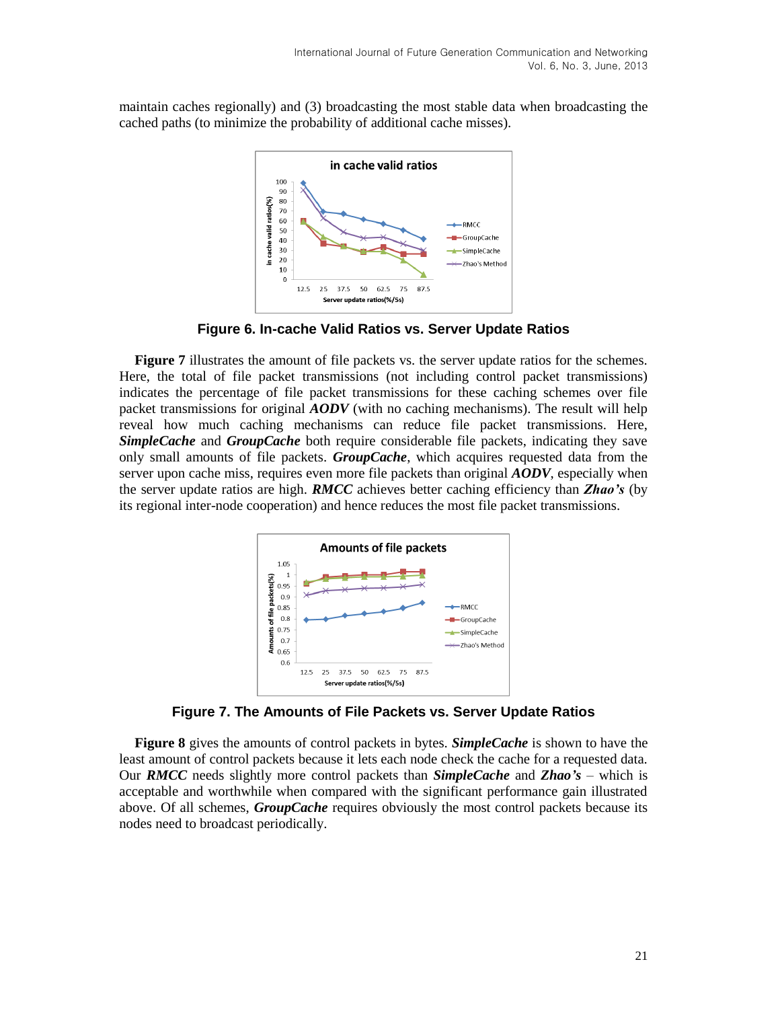maintain caches regionally) and (3) broadcasting the most stable data when broadcasting the cached paths (to minimize the probability of additional cache misses).



**Figure 6. In-cache Valid Ratios vs. Server Update Ratios**

**Figure 7** illustrates the amount of file packets vs. the server update ratios for the schemes. Here, the total of file packet transmissions (not including control packet transmissions) indicates the percentage of file packet transmissions for these caching schemes over file packet transmissions for original *AODV* (with no caching mechanisms). The result will help reveal how much caching mechanisms can reduce file packet transmissions. Here, *SimpleCache* and *GroupCache* both require considerable file packets, indicating they save only small amounts of file packets. *GroupCache*, which acquires requested data from the server upon cache miss, requires even more file packets than original *AODV*, especially when the server update ratios are high. *RMCC* achieves better caching efficiency than *Zhao's* (by its regional inter-node cooperation) and hence reduces the most file packet transmissions.



**Figure 7. The Amounts of File Packets vs. Server Update Ratios**

**Figure 8** gives the amounts of control packets in bytes. *SimpleCache* is shown to have the least amount of control packets because it lets each node check the cache for a requested data. Our *RMCC* needs slightly more control packets than *SimpleCache* and *Zhao's* – which is acceptable and worthwhile when compared with the significant performance gain illustrated above. Of all schemes, *GroupCache* requires obviously the most control packets because its nodes need to broadcast periodically.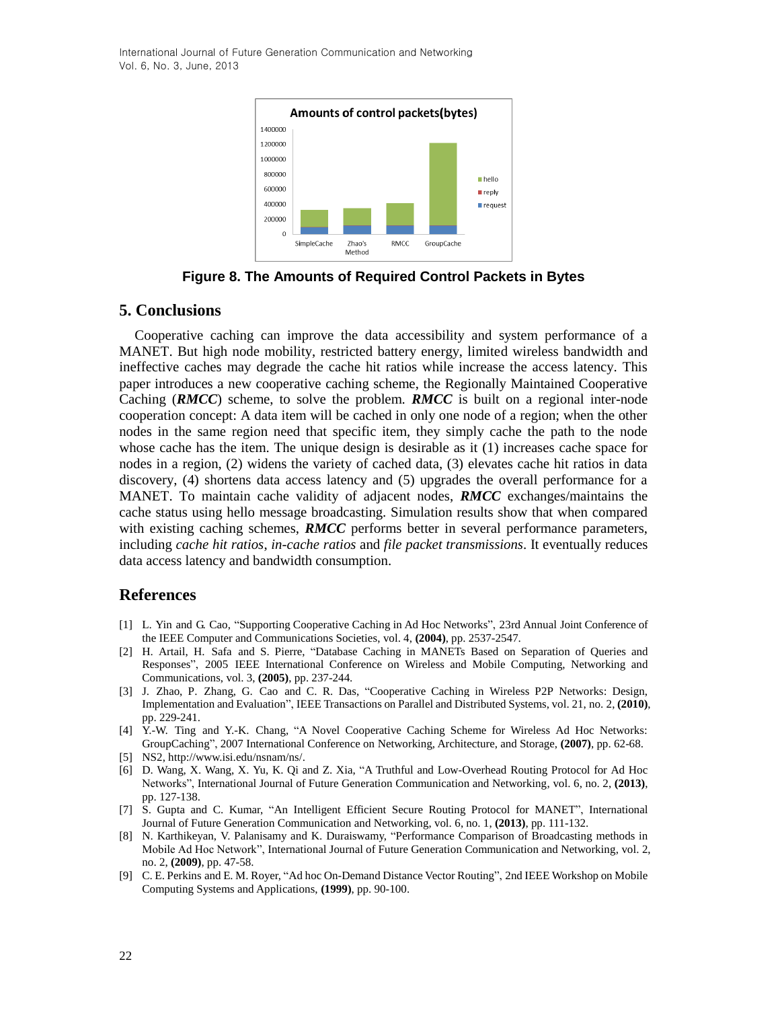International Journal of Future Generation Communication and Networking Vol. 6, No. 3, June, 2013



**Figure 8. The Amounts of Required Control Packets in Bytes**

## **5. Conclusions**

Cooperative caching can improve the data accessibility and system performance of a MANET. But high node mobility, restricted battery energy, limited wireless bandwidth and ineffective caches may degrade the cache hit ratios while increase the access latency. This paper introduces a new cooperative caching scheme, the Regionally Maintained Cooperative Caching (*RMCC*) scheme, to solve the problem. *RMCC* is built on a regional inter-node cooperation concept: A data item will be cached in only one node of a region; when the other nodes in the same region need that specific item, they simply cache the path to the node whose cache has the item. The unique design is desirable as it (1) increases cache space for nodes in a region, (2) widens the variety of cached data, (3) elevates cache hit ratios in data discovery, (4) shortens data access latency and (5) upgrades the overall performance for a MANET. To maintain cache validity of adjacent nodes, *RMCC* exchanges/maintains the cache status using hello message broadcasting. Simulation results show that when compared with existing caching schemes, **RMCC** performs better in several performance parameters, including *cache hit ratios*, *in-cache ratios* and *file packet transmissions*. It eventually reduces data access latency and bandwidth consumption.

### **References**

- [1] L. Yin and G. Cao, ["Supporting Cooperative Caching in Ad Hoc Networks"](http://ieeexplore.ieee.org/search/srchabstract.jsp?tp=&arnumber=1354674&openedRefinements%3D*%26filter%3DAND%28NOT%284283010803%29%29%26searchField%3DSearch+All%26queryText%3DLiangzhong+Yin%3B+Guohong+Cao), 23rd Annual [Joint Conference of](http://ieeexplore.ieee.org/xpl/mostRecentIssue.jsp?punumber=9369)  [the IEEE Computer and Communications Societies,](http://ieeexplore.ieee.org/xpl/mostRecentIssue.jsp?punumber=9369) vol. 4, **(2004)**, pp. 2537-2547.
- [2] H. Artail, H. Safa and S. Pierre, "Database Caching in MANETs Based on Separation of Queries and Responses", 2005 IEEE International Conference on Wireless and Mobile Computing, Networking and Communications, vol. 3, **(2005)**, pp. 237-244.
- [3] J. Zhao, P. Zhang, G. Cao and C. R. Das, "Cooperative Caching in Wireless P2P Networks: Design, Implementation and Evaluation", IEEE Transactions on Parallel and Distributed Systems, vol. 21, no. 2, **(2010)**, pp. 229-241.
- [4] Y.-W. Ting and Y.-K. Chang, ["A Novel Cooperative Caching Scheme for Wireless Ad Hoc Networks:](http://ieeexplore.ieee.org/search/srchabstract.jsp?tp=&arnumber=4286409&queryText%3Dcachedata%26openedRefinements%3D*%26searchField%3DSearch+All)  [GroupCaching"](http://ieeexplore.ieee.org/search/srchabstract.jsp?tp=&arnumber=4286409&queryText%3Dcachedata%26openedRefinements%3D*%26searchField%3DSearch+All), 2007 International Conference o[n Networking, Architecture, and Storage,](http://ieeexplore.ieee.org/xpl/mostRecentIssue.jsp?punumber=4286392) **(2007)**, pp. 62-68.
- [5] NS2, [http://www.isi.edu/nsnam/ns/.](http://www.isi.edu/nsnam/ns/)
- [6] D. Wang, X. Wang, X. Yu, K. Qi and Z. Xia, "A Truthful and Low-Overhead Routing Protocol for Ad Hoc Networks", International Journal of Future Generation Communication and Networking, vol. 6, no. 2, **(2013)**, pp. 127-138.
- [7] S. Gupta and C. Kumar, "An Intelligent Efficient Secure Routing Protocol for MANET", International Journal of Future Generation Communication and Networking, vol. 6, no. 1, **(2013)**, pp. 111-132.
- [8] N. Karthikeyan, V. Palanisamy and K. Duraiswamy, "Performance Comparison of Broadcasting methods in Mobile Ad Hoc Network", International Journal of Future Generation Communication and Networking, vol. 2, no. 2, **(2009)**, pp. 47-58.
- [9] C. E. Perkins and E. M. Royer, "Ad hoc On-Demand Distance Vector Routing", 2nd IEEE Workshop on Mobile Computing Systems and Applications, **(1999)**, pp. 90-100.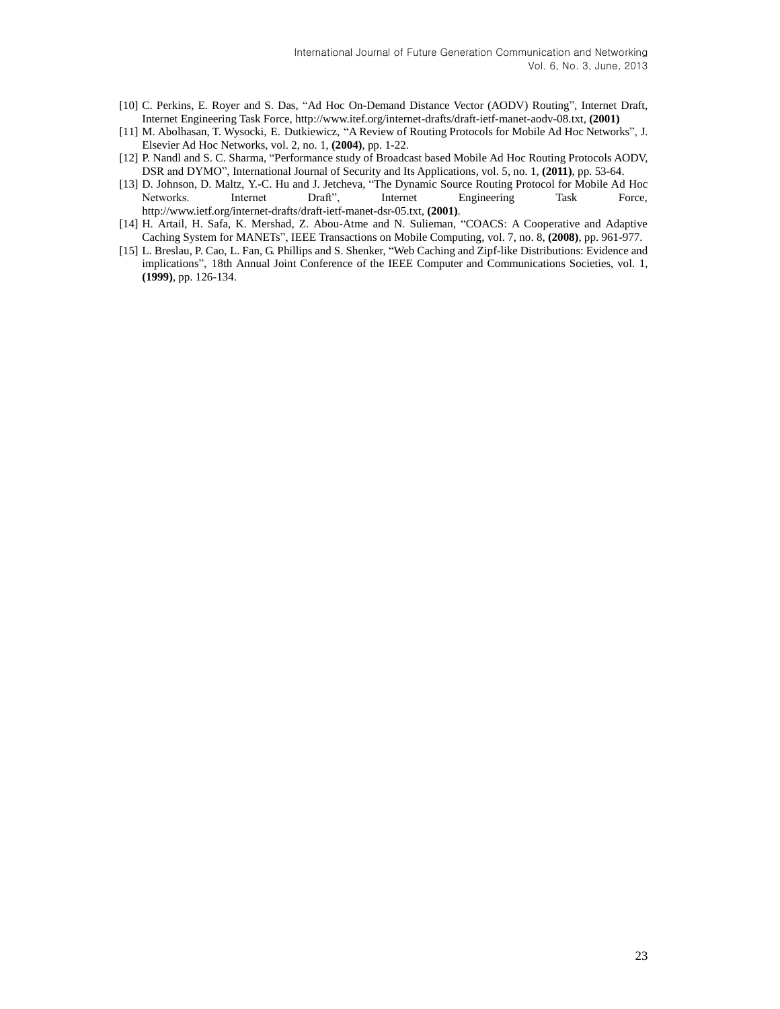- [10] C. Perkins, E. Royer and S. Das, "Ad Hoc On-Demand Distance Vector (AODV) Routing", Internet Draft, Internet Engineering Task Force, http://www.itef.org/internet-drafts/draft-ietf-manet-aodv-08.txt, **(2001)**
- [11] M. Abolhasan, T. Wysocki, E. Dutkiewicz, "A Review of Routing Protocols for Mobile Ad Hoc Networks", J. Elsevier Ad Hoc Networks, vol. 2, no. 1, **(2004)**, pp. 1-22.
- [12] P. Nandl and S. C. Sharma, "Performance study of Broadcast based Mobile Ad Hoc Routing Protocols AODV, DSR and DYMO", International Journal of Security and Its Applications, vol. 5, no. 1, **(2011)**, pp. 53-64.
- [13] D. Johnson, D. Maltz, Y.-C. Hu and J. Jetcheva, "The Dynamic Source Routing Protocol for Mobile Ad Hoc Internet Draft", Internet Engineering Task Force, [http://www.ietf.org/internet-drafts/draft-ietf-manet-dsr-05.txt,](http://www.ietf.org/internet-drafts/draft-ietf-manet-dsr-05.txt) **(2001)**.
- [14] H. Artail, H. Safa, K. Mershad, Z. Abou-Atme and N. Sulieman, "COACS: A Cooperative and Adaptive Caching System for MANETs", IEEE Transactions on Mobile Computing, vol. 7, no. 8, **(2008)**, pp. 961-977.
- [15] L. Breslau, P. Cao, L. Fan, G. Phillips and S. Shenker, "Web Caching and Zipf-like Distributions: Evidence and implications", 18th Annual Joint Conference of the IEEE Computer and Communications Societies, vol. 1, **(1999)**, pp. 126-134.